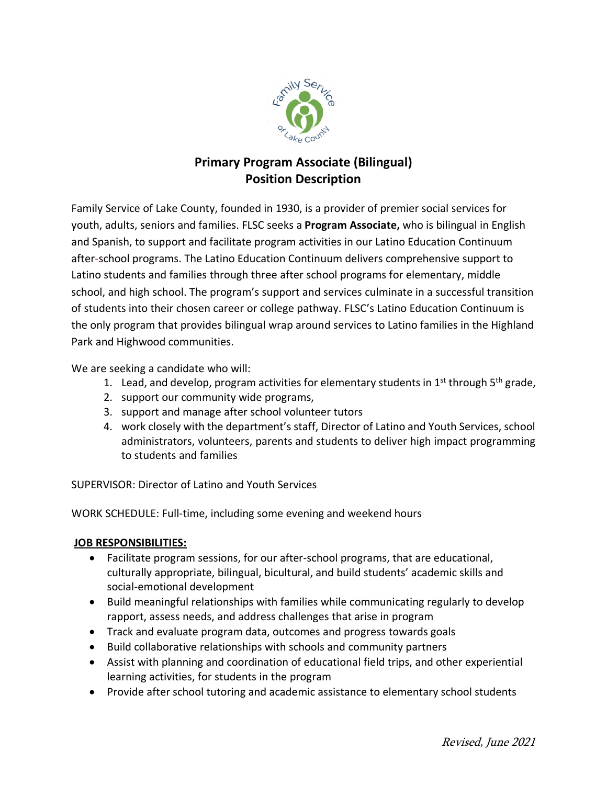

## **Primary Program Associate (Bilingual) Position Description**

Family Service of Lake County, founded in 1930, is a provider of premier social services for youth, adults, seniors and families. FLSC seeks a **Program Associate,** who is bilingual in English and Spanish, to support and facilitate program activities in our Latino Education Continuum after-school programs. The Latino Education Continuum delivers comprehensive support to Latino students and families through three after school programs for elementary, middle school, and high school. The program's support and services culminate in a successful transition of students into their chosen career or college pathway. FLSC's Latino Education Continuum is the only program that provides bilingual wrap around services to Latino families in the Highland Park and Highwood communities.

We are seeking a candidate who will:

- 1. Lead, and develop, program activities for elementary students in 1<sup>st</sup> through 5<sup>th</sup> grade,
- 2. support our community wide programs,
- 3. support and manage after school volunteer tutors
- 4. work closely with the department's staff, Director of Latino and Youth Services, school administrators, volunteers, parents and students to deliver high impact programming to students and families

SUPERVISOR: Director of Latino and Youth Services

WORK SCHEDULE: Full-time, including some evening and weekend hours

## **JOB RESPONSIBILITIES:**

- Facilitate program sessions, for our after-school programs, that are educational, culturally appropriate, bilingual, bicultural, and build students' academic skills and social-emotional development
- Build meaningful relationships with families while communicating regularly to develop rapport, assess needs, and address challenges that arise in program
- Track and evaluate program data, outcomes and progress towards goals
- Build collaborative relationships with schools and community partners
- Assist with planning and coordination of educational field trips, and other experiential learning activities, for students in the program
- Provide after school tutoring and academic assistance to elementary school students